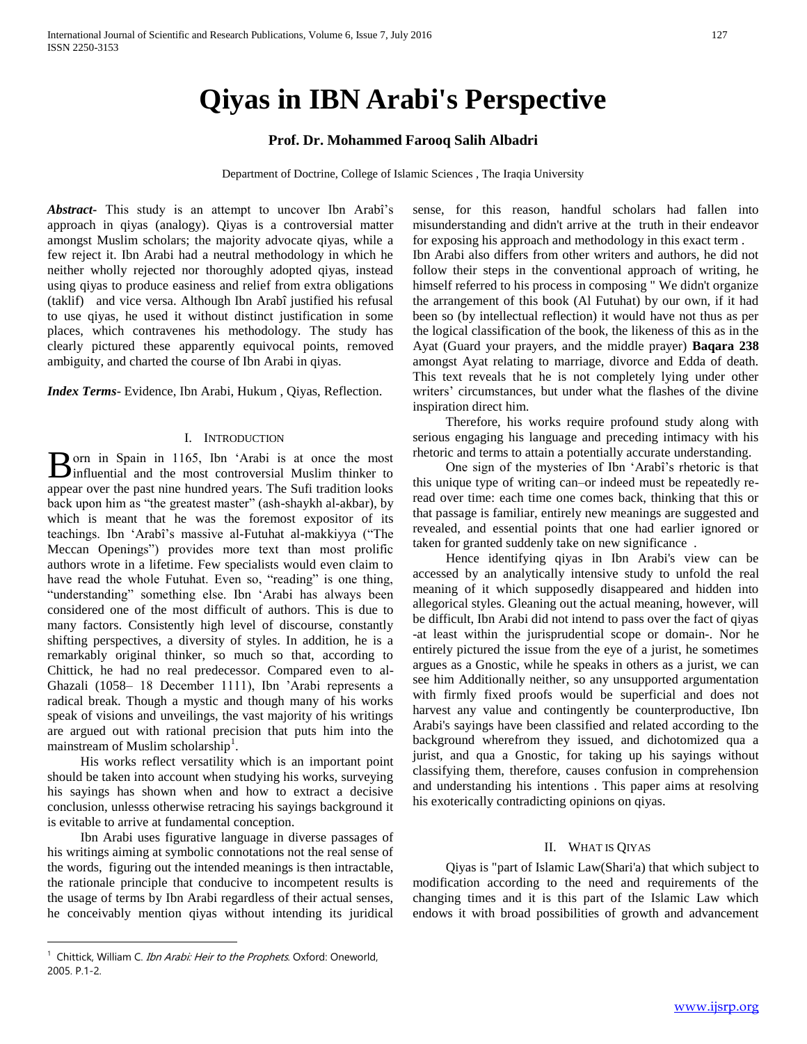# **Qiyas in IBN Arabi's Perspective**

# **Prof. Dr. Mohammed Farooq Salih Albadri**

Department of Doctrine, College of Islamic Sciences , The Iraqia University

*Abstract***-** This study is an attempt to uncover Ibn Arabî's approach in qiyas (analogy). Qiyas is a controversial matter amongst Muslim scholars; the majority advocate qiyas, while a few reject it. Ibn Arabi had a neutral methodology in which he neither wholly rejected nor thoroughly adopted qiyas, instead using qiyas to produce easiness and relief from extra obligations (taklif) and vice versa. Although Ibn Arabî justified his refusal to use qiyas, he used it without distinct justification in some places, which contravenes his methodology. The study has clearly pictured these apparently equivocal points, removed ambiguity, and charted the course of Ibn Arabi in qiyas.

*Index Terms*- Evidence, Ibn Arabi, Hukum , Qiyas, Reflection.

## I. INTRODUCTION

orn in Spain in 1165, Ibn 'Arabi is at once the most Born in Spain in 1165, Ibn 'Arabi is at once the most influential and the most controversial Muslim thinker to appear over the past nine hundred years. The Sufi tradition looks back upon him as "the greatest master" (ash-shaykh al-akbar), by which is meant that he was the foremost expositor of its teachings. Ibn 'Arabî's massive al-Futuhat al-makkiyya ("The Meccan Openings") provides more text than most prolific authors wrote in a lifetime. Few specialists would even claim to have read the whole Futuhat. Even so, "reading" is one thing, "understanding" something else. Ibn 'Arabi has always been considered one of the most difficult of authors. This is due to many factors. Consistently high level of discourse, constantly shifting perspectives, a diversity of styles. In addition, he is a remarkably original thinker, so much so that, according to Chittick, he had no real predecessor. Compared even to al-Ghazali (1058– 18 December 1111), Ibn 'Arabi represents a radical break. Though a mystic and though many of his works speak of visions and unveilings, the vast majority of his writings are argued out with rational precision that puts him into the mainstream of Muslim scholarship<sup>1</sup>.

 His works reflect versatility which is an important point should be taken into account when studying his works, surveying his sayings has shown when and how to extract a decisive conclusion, unlesss otherwise retracing his sayings background it is evitable to arrive at fundamental conception.

 Ibn Arabi uses figurative language in diverse passages of his writings aiming at symbolic connotations not the real sense of the words, figuring out the intended meanings is then intractable, the rationale principle that conducive to incompetent results is the usage of terms by Ibn Arabi regardless of their actual senses, he conceivably mention qiyas without intending its juridical

 $\overline{a}$ 

sense, for this reason, handful scholars had fallen into misunderstanding and didn't arrive at the truth in their endeavor for exposing his approach and methodology in this exact term . Ibn Arabi also differs from other writers and authors, he did not follow their steps in the conventional approach of writing, he himself referred to his process in composing " We didn't organize the arrangement of this book (Al Futuhat) by our own, if it had been so (by intellectual reflection) it would have not thus as per the logical classification of the book, the likeness of this as in the Ayat (Guard your prayers, and the middle prayer) **Baqara 238** amongst Ayat relating to marriage, divorce and Edda of death. This text reveals that he is not completely lying under other writers' circumstances, but under what the flashes of the divine inspiration direct him.

 Therefore, his works require profound study along with serious engaging his language and preceding intimacy with his rhetoric and terms to attain a potentially accurate understanding.

 One sign of the mysteries of Ibn 'Arabî's rhetoric is that this unique type of writing can–or indeed must be repeatedly reread over time: each time one comes back, thinking that this or that passage is familiar, entirely new meanings are suggested and revealed, and essential points that one had earlier ignored or taken for granted suddenly take on new significance .

 Hence identifying qiyas in Ibn Arabi's view can be accessed by an analytically intensive study to unfold the real meaning of it which supposedly disappeared and hidden into allegorical styles. Gleaning out the actual meaning, however, will be difficult, Ibn Arabi did not intend to pass over the fact of qiyas -at least within the jurisprudential scope or domain-. Nor he entirely pictured the issue from the eye of a jurist, he sometimes argues as a Gnostic, while he speaks in others as a jurist, we can see him Additionally neither, so any unsupported argumentation with firmly fixed proofs would be superficial and does not harvest any value and contingently be counterproductive, Ibn Arabi's sayings have been classified and related according to the background wherefrom they issued, and dichotomized qua a jurist, and qua a Gnostic, for taking up his sayings without classifying them, therefore, causes confusion in comprehension and understanding his intentions . This paper aims at resolving his exoterically contradicting opinions on qiyas.

# II. WHAT IS QIYAS

 Qiyas is "part of Islamic Law(Shari'a) that which subject to modification according to the need and requirements of the changing times and it is this part of the Islamic Law which endows it with broad possibilities of growth and advancement

<sup>&</sup>lt;sup>1</sup> Chittick, William C. Ibn Arabi: Heir to the Prophets. Oxford: Oneworld, 2005. P.1-2.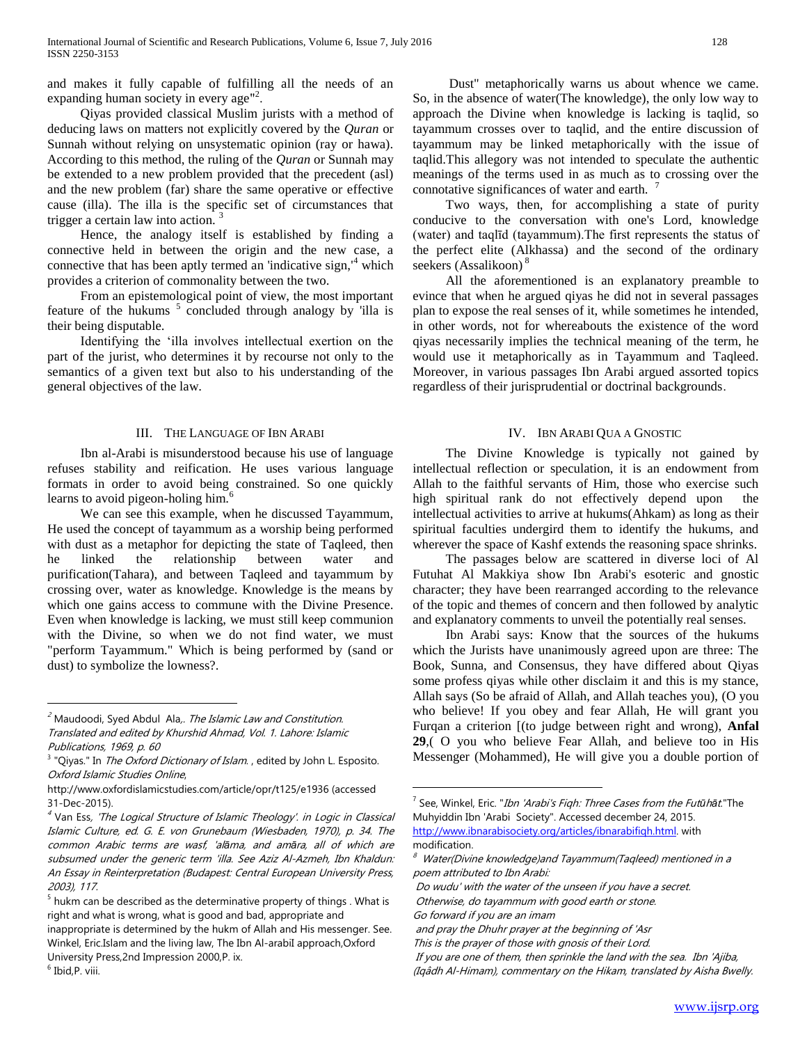and makes it fully capable of fulfilling all the needs of an expanding human society in every age"<sup>2</sup>.

 Qiyas provided classical Muslim jurists with a method of deducing laws on matters not explicitly covered by the *Quran* or Sunnah without relying on unsystematic opinion (ray or hawa). According to this method, the ruling of the *Quran* or Sunnah may be extended to a new problem provided that the precedent (asl) and the new problem (far) share the same operative or effective cause (illa). The illa is the specific set of circumstances that trigger a certain law into action.

 Hence, the analogy itself is established by finding a connective held in between the origin and the new case, a connective that has been aptly termed an 'indicative sign, $4$ <sup>4</sup> which provides a criterion of commonality between the two.

 From an epistemological point of view, the most important feature of the hukums<sup>5</sup> concluded through analogy by 'illa is their being disputable.

 Identifying the 'illa involves intellectual exertion on the part of the jurist, who determines it by recourse not only to the semantics of a given text but also to his understanding of the general objectives of the law.

## III. THE LANGUAGE OF IBN ARABI

 Ibn al-Arabi is misunderstood because his use of language refuses stability and reification. He uses various language formats in order to avoid being constrained. So one quickly learns to avoid pigeon-holing him.<sup>6</sup>

 We can see this example, when he discussed Tayammum, He used the concept of tayammum as a worship being performed with dust as a metaphor for depicting the state of Taqleed, then he linked the relationship between water and purification(Tahara), and between Taqleed and tayammum by crossing over, water as knowledge. Knowledge is the means by which one gains access to commune with the Divine Presence. Even when knowledge is lacking, we must still keep communion with the Divine, so when we do not find water, we must "perform Tayammum." Which is being performed by (sand or dust) to symbolize the lowness?.

 $\overline{a}$ 

 Dust" metaphorically warns us about whence we came. So, in the absence of water(The knowledge), the only low way to approach the Divine when knowledge is lacking is taqlid, so tayammum crosses over to taqlid, and the entire discussion of tayammum may be linked metaphorically with the issue of taqlid.This allegory was not intended to speculate the authentic meanings of the terms used in as much as to crossing over the connotative significances of water and earth.

 Two ways, then, for accomplishing a state of purity conducive to the conversation with one's Lord, knowledge (water) and taqlīd (tayammum).The first represents the status of the perfect elite (Alkhassa) and the second of the ordinary seekers (Assalikoon)<sup>8</sup>

 All the aforementioned is an explanatory preamble to evince that when he argued qiyas he did not in several passages plan to expose the real senses of it, while sometimes he intended, in other words, not for whereabouts the existence of the word qiyas necessarily implies the technical meaning of the term, he would use it metaphorically as in Tayammum and Taqleed. Moreover, in various passages Ibn Arabi argued assorted topics regardless of their jurisprudential or doctrinal backgrounds.

## IV. IBN ARABI QUA A GNOSTIC

 The Divine Knowledge is typically not gained by intellectual reflection or speculation, it is an endowment from Allah to the faithful servants of Him, those who exercise such high spiritual rank do not effectively depend upon the intellectual activities to arrive at hukums(Ahkam) as long as their spiritual faculties undergird them to identify the hukums, and wherever the space of Kashf extends the reasoning space shrinks.

 The passages below are scattered in diverse loci of Al Futuhat Al Makkiya show Ibn Arabi's esoteric and gnostic character; they have been rearranged according to the relevance of the topic and themes of concern and then followed by analytic and explanatory comments to unveil the potentially real senses.

 Ibn Arabi says: Know that the sources of the hukums which the Jurists have unanimously agreed upon are three: The Book, Sunna, and Consensus, they have differed about Qiyas some profess qiyas while other disclaim it and this is my stance, Allah says (So be afraid of Allah, and Allah teaches you), (O you who believe! If you obey and fear Allah, He will grant you Furqan a criterion [(to judge between right and wrong), **Anfal 29**,( O you who believe Fear Allah, and believe too in His Messenger (Mohammed), He will give you a double portion of

<sup>&</sup>lt;sup>2</sup> Maudoodi, Syed Abdul Ala,. The Islamic Law and Constitution. Translated and edited by Khurshid Ahmad, Vol. 1. Lahore: Islamic Publications, 1969, p. 60

<sup>&</sup>lt;sup>3</sup> "Qiyas." In *The Oxford Dictionary of Islam.*, edited by John L. Esposito. Oxford Islamic Studies Online,

http://www.oxfordislamicstudies.com/article/opr/t125/e1936 (accessed 31-Dec-2015).

<sup>&</sup>lt;sup>4</sup> Van Ess, 'The Logical Structure of Islamic Theology'. in Logic in Classical Islamic Culture, ed. G. E. von Grunebaum (Wiesbaden, 1970), p. 34. The common Arabic terms are wasf, 'al*ā*ma, and am*ā*ra, all of which are subsumed under the generic term 'illa. See Aziz Al-Azmeh, Ibn Khaldun: An Essay in Reinterpretation (Budapest: Central European University Press, 2003), 117.

 $<sup>5</sup>$  hukm can be described as the determinative property of things . What is</sup> right and what is wrong, what is good and bad, appropriate and inappropriate is determined by the hukm of Allah and His messenger. See.

Winkel, Eric.Islam and the living law, The Ibn Al-arabiI approach,Oxford University Press,2nd Impression 2000,P. ix.

<sup>6</sup> Ibid,P. viii.

<sup>7</sup> See, Winkel, Eric. "Ibn 'Arabi's Fiqh: Three Cases from the Fut*ū*h*ā*t."The Muhyiddin Ibn 'Arabi Society". Accessed december 24, 2015. [http://www.ibnarabisociety.org/articles/ibnarabifiqh.html.](http://www.ibnarabisociety.org/articles/ibnarabifiqh.html) with

modification.

Water(Divine knowledge)and Tayammum(Tagleed) mentioned in a poem attributed to Ibn Arabi:

Do wudu' with the water of the unseen if you have a secret.

Otherwise, do tayammum with good earth or stone.

Go forward if you are an imam

and pray the Dhuhr prayer at the beginning of 'Asr

This is the prayer of those with gnosis of their Lord.

If you are one of them, then sprinkle the land with the sea. Ibn 'Ajiba, (Iqâdh Al-Himam), commentary on the Hikam, translated by Aisha Bwelly.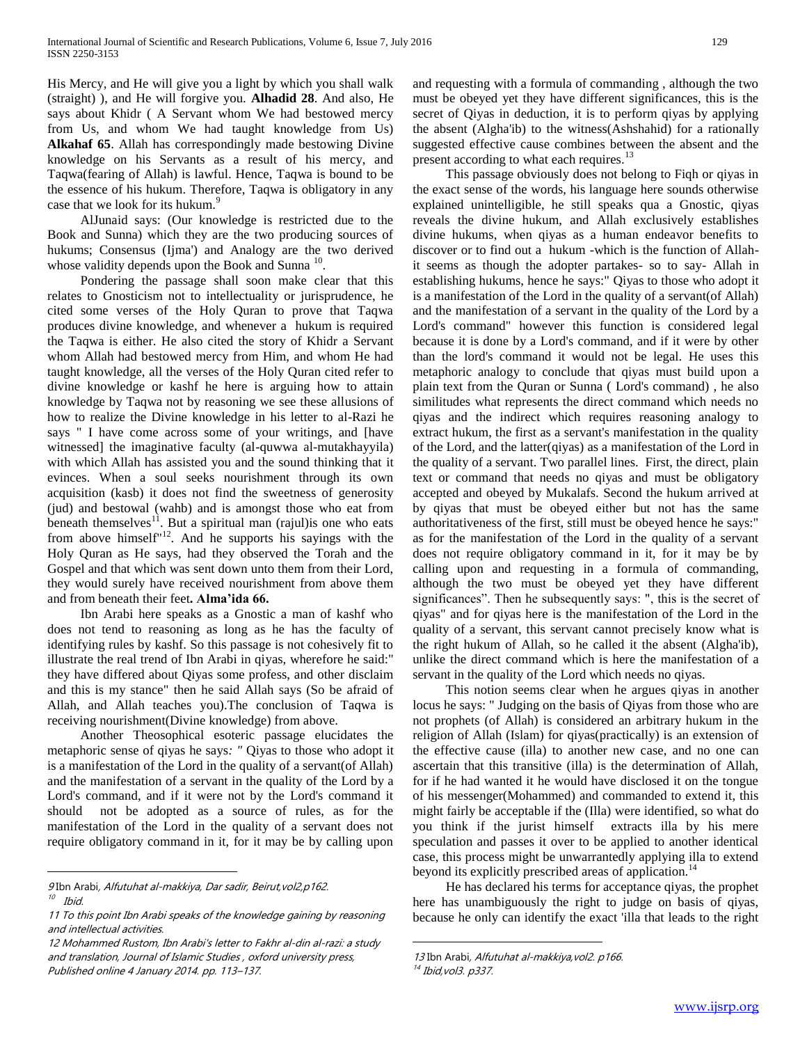His Mercy, and He will give you a light by which you shall walk (straight) ), and He will forgive you. **Alhadid 28**. And also, He says about Khidr ( A Servant whom We had bestowed mercy from Us, and whom We had taught knowledge from Us) **Alkahaf 65**. Allah has correspondingly made bestowing Divine knowledge on his Servants as a result of his mercy, and Taqwa(fearing of Allah) is lawful. Hence, Taqwa is bound to be the essence of his hukum. Therefore, Taqwa is obligatory in any case that we look for its hukum.<sup>9</sup>

 AlJunaid says: (Our knowledge is restricted due to the Book and Sunna) which they are the two producing sources of hukums; Consensus (Ijma') and Analogy are the two derived whose validity depends upon the Book and Sunna  $10$ .

 Pondering the passage shall soon make clear that this relates to Gnosticism not to intellectuality or jurisprudence, he cited some verses of the Holy Quran to prove that Taqwa produces divine knowledge, and whenever a hukum is required the Taqwa is either. He also cited the story of Khidr a Servant whom Allah had bestowed mercy from Him, and whom He had taught knowledge, all the verses of the Holy Quran cited refer to divine knowledge or kashf he here is arguing how to attain knowledge by Taqwa not by reasoning we see these allusions of how to realize the Divine knowledge in his letter to al-Razi he says " I have come across some of your writings, and [have witnessed] the imaginative faculty (al-quwwa al-mutakhayyila) with which Allah has assisted you and the sound thinking that it evinces. When a soul seeks nourishment through its own acquisition (kasb) it does not find the sweetness of generosity (jud) and bestowal (wahb) and is amongst those who eat from beneath themselves<sup>11</sup>. But a spiritual man (rajul) is one who eats from above himself"<sup>12</sup>. And he supports his sayings with the Holy Quran as He says, had they observed the Torah and the Gospel and that which was sent down unto them from their Lord, they would surely have received nourishment from above them and from beneath their feet**. Alma'ida 66.**

 Ibn Arabi here speaks as a Gnostic a man of kashf who does not tend to reasoning as long as he has the faculty of identifying rules by kashf. So this passage is not cohesively fit to illustrate the real trend of Ibn Arabi in qiyas, wherefore he said:" they have differed about Qiyas some profess, and other disclaim and this is my stance" then he said Allah says (So be afraid of Allah, and Allah teaches you).The conclusion of Taqwa is receiving nourishment(Divine knowledge) from above.

 Another Theosophical esoteric passage elucidates the metaphoric sense of qiyas he says*: "* Qiyas to those who adopt it is a manifestation of the Lord in the quality of a servant(of Allah) and the manifestation of a servant in the quality of the Lord by a Lord's command, and if it were not by the Lord's command it should not be adopted as a source of rules, as for the manifestation of the Lord in the quality of a servant does not require obligatory command in it, for it may be by calling upon

 $\overline{a}$ 

and requesting with a formula of commanding , although the two must be obeyed yet they have different significances, this is the secret of Qiyas in deduction, it is to perform qiyas by applying the absent (Algha'ib) to the witness(Ashshahid) for a rationally suggested effective cause combines between the absent and the present according to what each requires.<sup>13</sup>

 This passage obviously does not belong to Fiqh or qiyas in the exact sense of the words, his language here sounds otherwise explained unintelligible, he still speaks qua a Gnostic, qiyas reveals the divine hukum, and Allah exclusively establishes divine hukums, when qiyas as a human endeavor benefits to discover or to find out a hukum -which is the function of Allahit seems as though the adopter partakes- so to say- Allah in establishing hukums, hence he says:" Qiyas to those who adopt it is a manifestation of the Lord in the quality of a servant(of Allah) and the manifestation of a servant in the quality of the Lord by a Lord's command" however this function is considered legal because it is done by a Lord's command, and if it were by other than the lord's command it would not be legal. He uses this metaphoric analogy to conclude that qiyas must build upon a plain text from the Quran or Sunna ( Lord's command) , he also similitudes what represents the direct command which needs no qiyas and the indirect which requires reasoning analogy to extract hukum, the first as a servant's manifestation in the quality of the Lord, and the latter(qiyas) as a manifestation of the Lord in the quality of a servant. Two parallel lines. First, the direct, plain text or command that needs no qiyas and must be obligatory accepted and obeyed by Mukalafs. Second the hukum arrived at by qiyas that must be obeyed either but not has the same authoritativeness of the first, still must be obeyed hence he says:" as for the manifestation of the Lord in the quality of a servant does not require obligatory command in it, for it may be by calling upon and requesting in a formula of commanding, although the two must be obeyed yet they have different significances". Then he subsequently says: ", this is the secret of qiyas" and for qiyas here is the manifestation of the Lord in the quality of a servant, this servant cannot precisely know what is the right hukum of Allah, so he called it the absent (Algha'ib), unlike the direct command which is here the manifestation of a servant in the quality of the Lord which needs no qiyas.

 This notion seems clear when he argues qiyas in another locus he says: " Judging on the basis of Qiyas from those who are not prophets (of Allah) is considered an arbitrary hukum in the religion of Allah (Islam) for qiyas(practically) is an extension of the effective cause (illa) to another new case, and no one can ascertain that this transitive (illa) is the determination of Allah, for if he had wanted it he would have disclosed it on the tongue of his messenger(Mohammed) and commanded to extend it, this might fairly be acceptable if the (Illa) were identified, so what do you think if the jurist himself extracts illa by his mere speculation and passes it over to be applied to another identical case, this process might be unwarrantedly applying illa to extend beyond its explicitly prescribed areas of application.<sup>14</sup>

 He has declared his terms for acceptance qiyas, the prophet here has unambiguously the right to judge on basis of qiyas, because he only can identify the exact 'illa that leads to the right

<sup>9</sup> Ibn Arabi, Alfutuhat al-makkiya, Dar sadir, Beirut, vol2, p162. 10 Ibid.

<sup>11</sup> To this point Ibn Arabi speaks of the knowledge gaining by reasoning and intellectual activities.

<sup>12</sup> Mohammed Rustom, Ibn Arabi's letter to Fakhr al-din al-razi: a study and translation, Journal of Islamic Studies , oxford university press, Published online 4 January 2014. pp. 113–137.

<sup>13</sup> Ibn Arabi, Alfutuhat al-makkiya, vol2. p166. <sup>14</sup> Ibid,vol3. p337.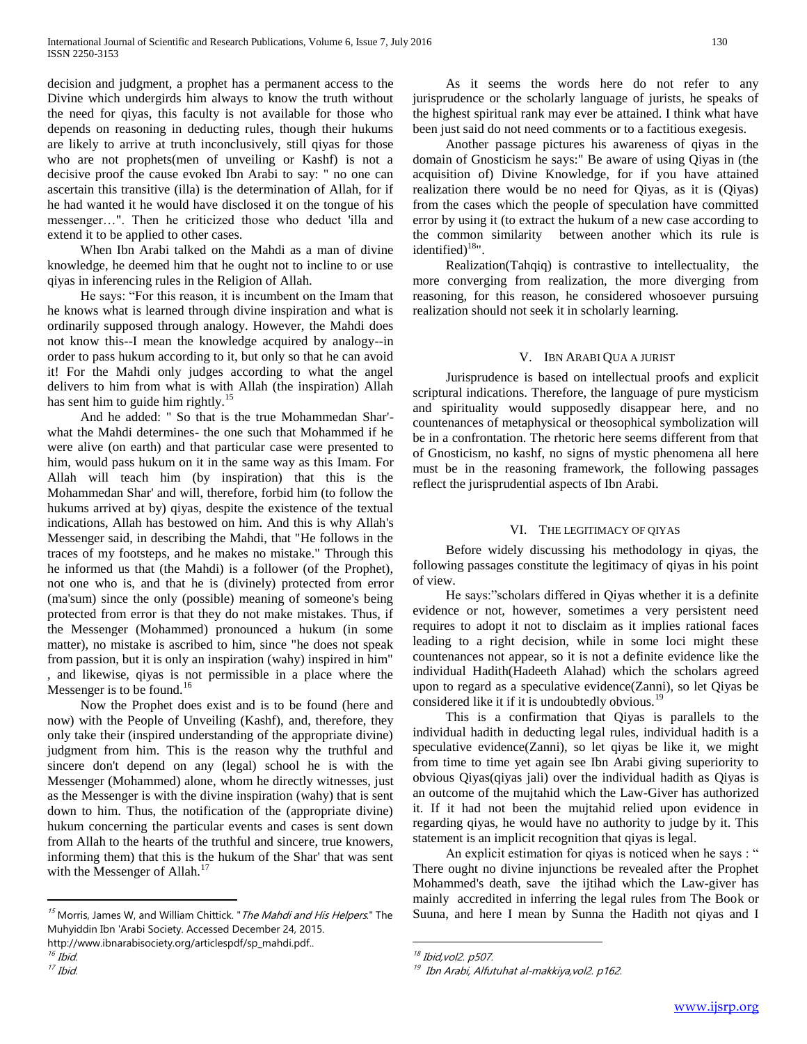decision and judgment, a prophet has a permanent access to the Divine which undergirds him always to know the truth without the need for qiyas, this faculty is not available for those who depends on reasoning in deducting rules, though their hukums are likely to arrive at truth inconclusively, still qiyas for those who are not prophets(men of unveiling or Kashf) is not a decisive proof the cause evoked Ibn Arabi to say: " no one can ascertain this transitive (illa) is the determination of Allah, for if he had wanted it he would have disclosed it on the tongue of his messenger…". Then he criticized those who deduct 'illa and extend it to be applied to other cases.

 When Ibn Arabi talked on the Mahdi as a man of divine knowledge, he deemed him that he ought not to incline to or use qiyas in inferencing rules in the Religion of Allah.

 He says: "For this reason, it is incumbent on the Imam that he knows what is learned through divine inspiration and what is ordinarily supposed through analogy. However, the Mahdi does not know this--I mean the knowledge acquired by analogy--in order to pass hukum according to it, but only so that he can avoid it! For the Mahdi only judges according to what the angel delivers to him from what is with Allah (the inspiration) Allah has sent him to guide him rightly.<sup>15</sup>

 And he added: " So that is the true Mohammedan Shar' what the Mahdi determines- the one such that Mohammed if he were alive (on earth) and that particular case were presented to him, would pass hukum on it in the same way as this Imam. For Allah will teach him (by inspiration) that this is the Mohammedan Shar' and will, therefore, forbid him (to follow the hukums arrived at by) qiyas, despite the existence of the textual indications, Allah has bestowed on him. And this is why Allah's Messenger said, in describing the Mahdi, that "He follows in the traces of my footsteps, and he makes no mistake." Through this he informed us that (the Mahdi) is a follower (of the Prophet), not one who is, and that he is (divinely) protected from error (ma'sum) since the only (possible) meaning of someone's being protected from error is that they do not make mistakes. Thus, if the Messenger (Mohammed) pronounced a hukum (in some matter), no mistake is ascribed to him, since "he does not speak from passion, but it is only an inspiration (wahy) inspired in him" , and likewise, qiyas is not permissible in a place where the Messenger is to be found.<sup>16</sup>

 Now the Prophet does exist and is to be found (here and now) with the People of Unveiling (Kashf), and, therefore, they only take their (inspired understanding of the appropriate divine) judgment from him. This is the reason why the truthful and sincere don't depend on any (legal) school he is with the Messenger (Mohammed) alone, whom he directly witnesses, just as the Messenger is with the divine inspiration (wahy) that is sent down to him. Thus, the notification of the (appropriate divine) hukum concerning the particular events and cases is sent down from Allah to the hearts of the truthful and sincere, true knowers, informing them) that this is the hukum of the Shar' that was sent with the Messenger of Allah.<sup>17</sup>

 $\overline{a}$ 

 As it seems the words here do not refer to any jurisprudence or the scholarly language of jurists, he speaks of the highest spiritual rank may ever be attained. I think what have been just said do not need comments or to a factitious exegesis.

 Another passage pictures his awareness of qiyas in the domain of Gnosticism he says:" Be aware of using Qiyas in (the acquisition of) Divine Knowledge, for if you have attained realization there would be no need for Qiyas, as it is (Qiyas) from the cases which the people of speculation have committed error by using it (to extract the hukum of a new case according to the common similarity between another which its rule is identified) $18$ ".

 Realization(Tahqiq) is contrastive to intellectuality, the more converging from realization, the more diverging from reasoning, for this reason, he considered whosoever pursuing realization should not seek it in scholarly learning.

# V. IBN ARABI QUA A JURIST

 Jurisprudence is based on intellectual proofs and explicit scriptural indications. Therefore, the language of pure mysticism and spirituality would supposedly disappear here, and no countenances of metaphysical or theosophical symbolization will be in a confrontation. The rhetoric here seems different from that of Gnosticism, no kashf, no signs of mystic phenomena all here must be in the reasoning framework, the following passages reflect the jurisprudential aspects of Ibn Arabi.

# VI. THE LEGITIMACY OF QIYAS

 Before widely discussing his methodology in qiyas, the following passages constitute the legitimacy of qiyas in his point of view.

 He says:"scholars differed in Qiyas whether it is a definite evidence or not, however, sometimes a very persistent need requires to adopt it not to disclaim as it implies rational faces leading to a right decision, while in some loci might these countenances not appear, so it is not a definite evidence like the individual Hadith(Hadeeth Alahad) which the scholars agreed upon to regard as a speculative evidence(Zanni), so let Qiyas be considered like it if it is undoubtedly obvious.<sup>19</sup>

 This is a confirmation that Qiyas is parallels to the individual hadith in deducting legal rules, individual hadith is a speculative evidence(Zanni), so let qiyas be like it, we might from time to time yet again see Ibn Arabi giving superiority to obvious Qiyas(qiyas jali) over the individual hadith as Qiyas is an outcome of the mujtahid which the Law-Giver has authorized it. If it had not been the mujtahid relied upon evidence in regarding qiyas, he would have no authority to judge by it. This statement is an implicit recognition that qiyas is legal.

An explicit estimation for qiyas is noticed when he says : " There ought no divine injunctions be revealed after the Prophet Mohammed's death, save the ijtihad which the Law-giver has mainly accredited in inferring the legal rules from The Book or Suuna, and here I mean by Sunna the Hadith not qiyas and I

<sup>&</sup>lt;sup>15</sup> Morris, James W, and William Chittick. " The Mahdi and His Helpers." The Muhyiddin Ibn 'Arabi Society. Accessed December 24, 2015.

http://www.ibnarabisociety.org/articlespdf/sp\_mahdi.pdf..

 $16$  Ibid.

<sup>17</sup> Ibid.

<sup>&</sup>lt;sup>18</sup> Ibid,vol2. p507.

<sup>&</sup>lt;sup>19</sup> Ibn Arabi, Alfutuhat al-makkiya,vol2. p162.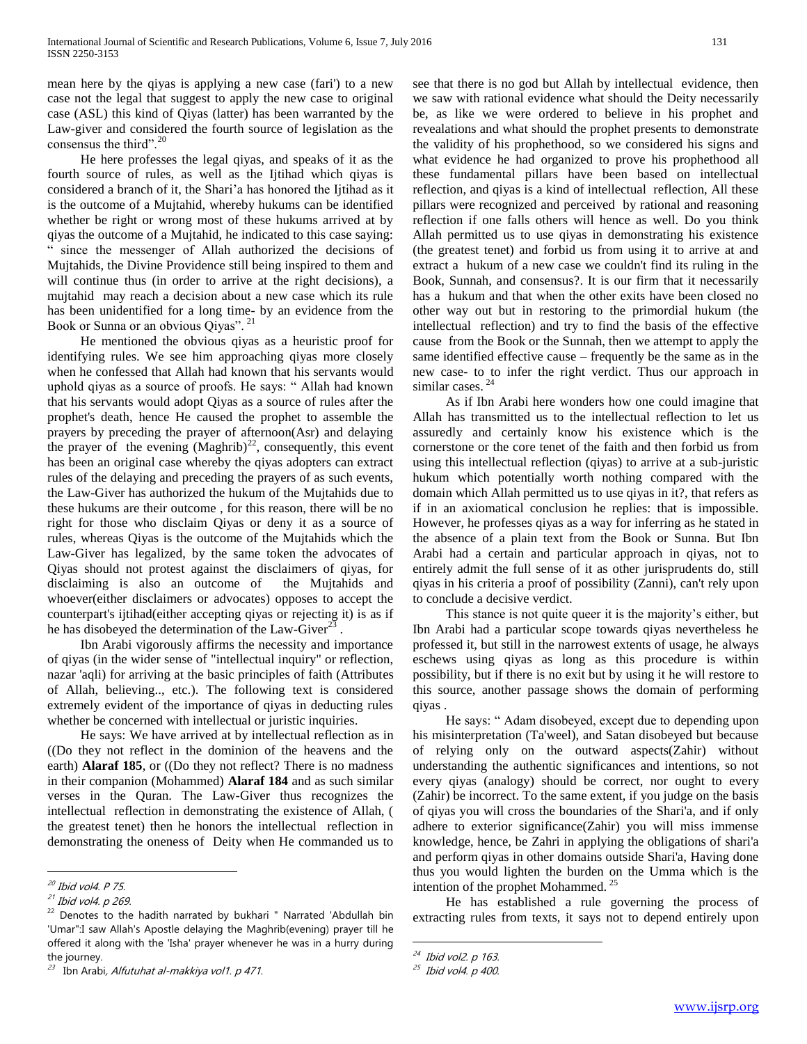mean here by the qiyas is applying a new case (fari') to a new case not the legal that suggest to apply the new case to original case (ASL) this kind of Qiyas (latter) has been warranted by the Law-giver and considered the fourth source of legislation as the consensus the third".<sup>20</sup>

 He here professes the legal qiyas, and speaks of it as the fourth source of rules, as well as the Ijtihad which qiyas is considered a branch of it, the Shari'a has honored the Ijtihad as it is the outcome of a Mujtahid, whereby hukums can be identified whether be right or wrong most of these hukums arrived at by qiyas the outcome of a Mujtahid, he indicated to this case saying: " since the messenger of Allah authorized the decisions of Mujtahids, the Divine Providence still being inspired to them and will continue thus (in order to arrive at the right decisions), a mujtahid may reach a decision about a new case which its rule has been unidentified for a long time- by an evidence from the Book or Sunna or an obvious Qiyas". <sup>21</sup>

 He mentioned the obvious qiyas as a heuristic proof for identifying rules. We see him approaching qiyas more closely when he confessed that Allah had known that his servants would uphold qiyas as a source of proofs. He says: " Allah had known that his servants would adopt Qiyas as a source of rules after the prophet's death, hence He caused the prophet to assemble the prayers by preceding the prayer of afternoon(Asr) and delaying the prayer of the evening  $(Maghrib)^{22}$ , consequently, this event has been an original case whereby the qiyas adopters can extract rules of the delaying and preceding the prayers of as such events, the Law-Giver has authorized the hukum of the Mujtahids due to these hukums are their outcome , for this reason, there will be no right for those who disclaim Qiyas or deny it as a source of rules, whereas Qiyas is the outcome of the Mujtahids which the Law-Giver has legalized, by the same token the advocates of Qiyas should not protest against the disclaimers of qiyas, for disclaiming is also an outcome of the Mujtahids and whoever(either disclaimers or advocates) opposes to accept the counterpart's ijtihad(either accepting qiyas or rejecting it) is as if he has disobeyed the determination of the Law-Giver<sup>23</sup>.

 Ibn Arabi vigorously affirms the necessity and importance of qiyas (in the wider sense of "intellectual inquiry" or reflection, nazar 'aqli) for arriving at the basic principles of faith (Attributes of Allah, believing.., etc.). The following text is considered extremely evident of the importance of qiyas in deducting rules whether be concerned with intellectual or juristic inquiries.

 He says: We have arrived at by intellectual reflection as in ((Do they not reflect in the dominion of the heavens and the earth) **Alaraf 185**, or ((Do they not reflect? There is no madness in their companion (Mohammed) **Alaraf 184** and as such similar verses in the Quran. The Law-Giver thus recognizes the intellectual reflection in demonstrating the existence of Allah, ( the greatest tenet) then he honors the intellectual reflection in demonstrating the oneness of Deity when He commanded us to

 $\overline{a}$ 

see that there is no god but Allah by intellectual evidence, then we saw with rational evidence what should the Deity necessarily be, as like we were ordered to believe in his prophet and revealations and what should the prophet presents to demonstrate the validity of his prophethood, so we considered his signs and what evidence he had organized to prove his prophethood all these fundamental pillars have been based on intellectual reflection, and qiyas is a kind of intellectual reflection, All these pillars were recognized and perceived by rational and reasoning reflection if one falls others will hence as well. Do you think Allah permitted us to use qiyas in demonstrating his existence (the greatest tenet) and forbid us from using it to arrive at and extract a hukum of a new case we couldn't find its ruling in the Book, Sunnah, and consensus?. It is our firm that it necessarily has a hukum and that when the other exits have been closed no other way out but in restoring to the primordial hukum (the intellectual reflection) and try to find the basis of the effective cause from the Book or the Sunnah, then we attempt to apply the same identified effective cause – frequently be the same as in the new case- to to infer the right verdict. Thus our approach in similar cases.<sup>24</sup>

 As if Ibn Arabi here wonders how one could imagine that Allah has transmitted us to the intellectual reflection to let us assuredly and certainly know his existence which is the cornerstone or the core tenet of the faith and then forbid us from using this intellectual reflection (qiyas) to arrive at a sub-juristic hukum which potentially worth nothing compared with the domain which Allah permitted us to use qiyas in it?, that refers as if in an axiomatical conclusion he replies: that is impossible. However, he professes qiyas as a way for inferring as he stated in the absence of a plain text from the Book or Sunna. But Ibn Arabi had a certain and particular approach in qiyas, not to entirely admit the full sense of it as other jurisprudents do, still qiyas in his criteria a proof of possibility (Zanni), can't rely upon to conclude a decisive verdict.

 This stance is not quite queer it is the majority's either, but Ibn Arabi had a particular scope towards qiyas nevertheless he professed it, but still in the narrowest extents of usage, he always eschews using qiyas as long as this procedure is within possibility, but if there is no exit but by using it he will restore to this source, another passage shows the domain of performing qiyas .

 He says: " Adam disobeyed, except due to depending upon his misinterpretation (Ta'weel), and Satan disobeyed but because of relying only on the outward aspects(Zahir) without understanding the authentic significances and intentions, so not every qiyas (analogy) should be correct, nor ought to every (Zahir) be incorrect. To the same extent, if you judge on the basis of qiyas you will cross the boundaries of the Shari'a, and if only adhere to exterior significance(Zahir) you will miss immense knowledge, hence, be Zahri in applying the obligations of shari'a and perform qiyas in other domains outside Shari'a, Having done thus you would lighten the burden on the Umma which is the intention of the prophet Mohammed.<sup>25</sup>

 He has established a rule governing the process of extracting rules from texts, it says not to depend entirely upon

<sup>&</sup>lt;sup>20</sup> Ibid vol4. P 75.

<sup>&</sup>lt;sup>21</sup> Ibid vol4. p 269.

<sup>&</sup>lt;sup>22</sup> Denotes to the hadith narrated by bukhari " Narrated 'Abdullah bin 'Umar":I saw Allah's Apostle delaying the Maghrib(evening) prayer till he offered it along with the 'Isha' prayer whenever he was in a hurry during the journey.

<sup>&</sup>lt;sup>23</sup> Ibn Arabi*, Alfutuhat al-makkiya vol1. p 471.* 

<sup>&</sup>lt;sup>24</sup> Ibid vol2. p 163.

<sup>&</sup>lt;sup>25</sup> Ibid vol4. p 400.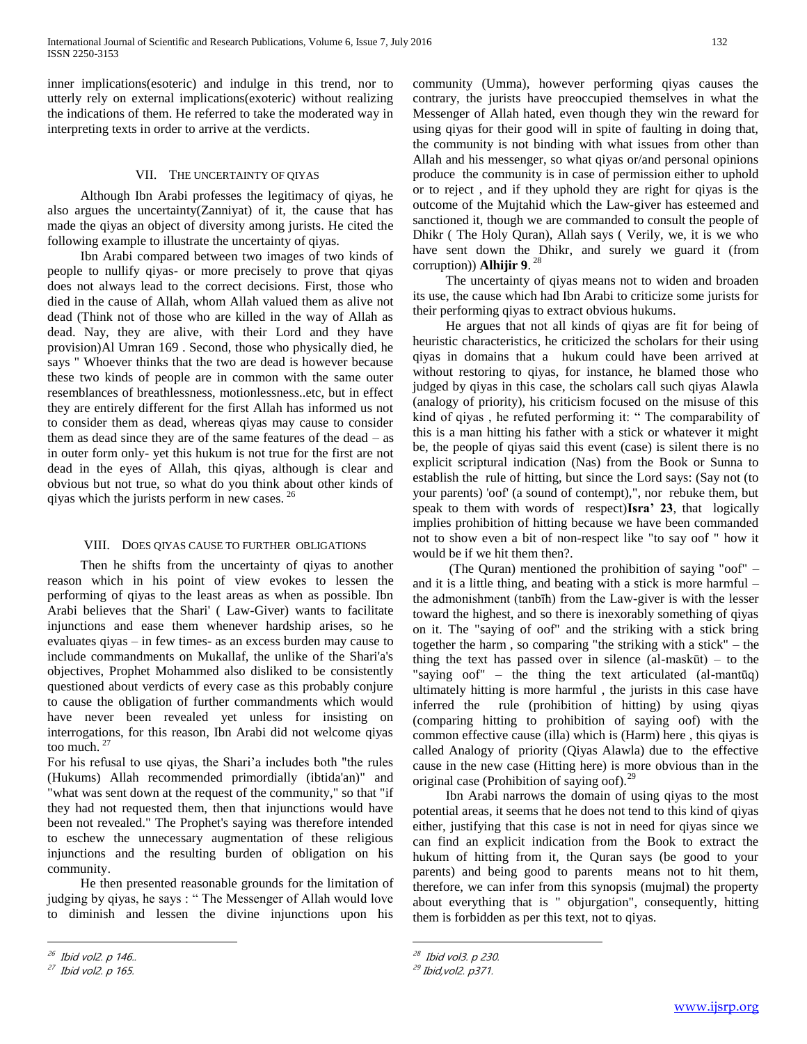inner implications(esoteric) and indulge in this trend, nor to utterly rely on external implications(exoteric) without realizing the indications of them. He referred to take the moderated way in interpreting texts in order to arrive at the verdicts.

## VII. THE UNCERTAINTY OF QIYAS

 Although Ibn Arabi professes the legitimacy of qiyas, he also argues the uncertainty(Zanniyat) of it, the cause that has made the qiyas an object of diversity among jurists. He cited the following example to illustrate the uncertainty of qiyas.

 Ibn Arabi compared between two images of two kinds of people to nullify qiyas- or more precisely to prove that qiyas does not always lead to the correct decisions. First, those who died in the cause of Allah, whom Allah valued them as alive not dead (Think not of those who are killed in the way of Allah as dead. Nay, they are alive, with their Lord and they have provision)Al Umran 169 . Second, those who physically died, he says " Whoever thinks that the two are dead is however because these two kinds of people are in common with the same outer resemblances of breathlessness, motionlessness..etc, but in effect they are entirely different for the first Allah has informed us not to consider them as dead, whereas qiyas may cause to consider them as dead since they are of the same features of the dead – as in outer form only- yet this hukum is not true for the first are not dead in the eyes of Allah, this qiyas, although is clear and obvious but not true, so what do you think about other kinds of qiyas which the jurists perform in new cases. <sup>26</sup>

#### VIII. DOES QIYAS CAUSE TO FURTHER OBLIGATIONS

 Then he shifts from the uncertainty of qiyas to another reason which in his point of view evokes to lessen the performing of qiyas to the least areas as when as possible. Ibn Arabi believes that the Shari' ( Law-Giver) wants to facilitate injunctions and ease them whenever hardship arises, so he evaluates qiyas – in few times- as an excess burden may cause to include commandments on Mukallaf, the unlike of the Shari'a's objectives, Prophet Mohammed also disliked to be consistently questioned about verdicts of every case as this probably conjure to cause the obligation of further commandments which would have never been revealed yet unless for insisting on interrogations, for this reason, Ibn Arabi did not welcome qiyas too much. <sup>27</sup>

For his refusal to use qiyas, the Shari'a includes both "the rules (Hukums) Allah recommended primordially (ibtida'an)" and "what was sent down at the request of the community," so that "if they had not requested them, then that injunctions would have been not revealed." The Prophet's saying was therefore intended to eschew the unnecessary augmentation of these religious injunctions and the resulting burden of obligation on his community.

 He then presented reasonable grounds for the limitation of judging by qiyas, he says : " The Messenger of Allah would love to diminish and lessen the divine injunctions upon his

 $\overline{a}$ 

community (Umma), however performing qiyas causes the contrary, the jurists have preoccupied themselves in what the Messenger of Allah hated, even though they win the reward for using qiyas for their good will in spite of faulting in doing that, the community is not binding with what issues from other than Allah and his messenger, so what qiyas or/and personal opinions produce the community is in case of permission either to uphold or to reject , and if they uphold they are right for qiyas is the outcome of the Mujtahid which the Law-giver has esteemed and sanctioned it, though we are commanded to consult the people of Dhikr ( The Holy Quran), Allah says ( Verily, we, it is we who have sent down the Dhikr, and surely we guard it (from corruption)) **Alhijir 9**. 28

 The uncertainty of qiyas means not to widen and broaden its use, the cause which had Ibn Arabi to criticize some jurists for their performing qiyas to extract obvious hukums.

 He argues that not all kinds of qiyas are fit for being of heuristic characteristics, he criticized the scholars for their using qiyas in domains that a hukum could have been arrived at without restoring to qiyas, for instance, he blamed those who judged by qiyas in this case, the scholars call such qiyas Alawla (analogy of priority), his criticism focused on the misuse of this kind of qiyas , he refuted performing it: " The comparability of this is a man hitting his father with a stick or whatever it might be, the people of qiyas said this event (case) is silent there is no explicit scriptural indication (Nas) from the Book or Sunna to establish the rule of hitting, but since the Lord says: (Say not (to your parents) 'oof' (a sound of contempt),", nor rebuke them, but speak to them with words of respect)**Isra' 23**, that logically implies prohibition of hitting because we have been commanded not to show even a bit of non-respect like "to say oof " how it would be if we hit them then?.

 (The Quran) mentioned the prohibition of saying "oof" – and it is a little thing, and beating with a stick is more harmful – the admonishment (tanbīh) from the Law-giver is with the lesser toward the highest, and so there is inexorably something of qiyas on it. The "saying of oof" and the striking with a stick bring together the harm , so comparing "the striking with a stick" – the thing the text has passed over in silence  $(al-maskūt)$  – to the "saying oof" – the thing the text articulated (al-mantūq) ultimately hitting is more harmful , the jurists in this case have inferred the rule (prohibition of hitting) by using qiyas (comparing hitting to prohibition of saying oof) with the common effective cause (illa) which is (Harm) here , this qiyas is called Analogy of priority (Qiyas Alawla) due to the effective cause in the new case (Hitting here) is more obvious than in the original case (Prohibition of saying oof).<sup>29</sup>

 Ibn Arabi narrows the domain of using qiyas to the most potential areas, it seems that he does not tend to this kind of qiyas either, justifying that this case is not in need for qiyas since we can find an explicit indication from the Book to extract the hukum of hitting from it, the Quran says (be good to your parents) and being good to parents means not to hit them, therefore, we can infer from this synopsis (mujmal) the property about everything that is " objurgation", consequently, hitting them is forbidden as per this text, not to qiyas.

<sup>&</sup>lt;sup>26</sup> Ibid vol2. p 146..

<sup>&</sup>lt;sup>27</sup> Ibid vol2. p 165.

<sup>&</sup>lt;sup>28</sup> Ibid vol3. p 230.

<sup>&</sup>lt;sup>29</sup> Ibid,vol2. p371.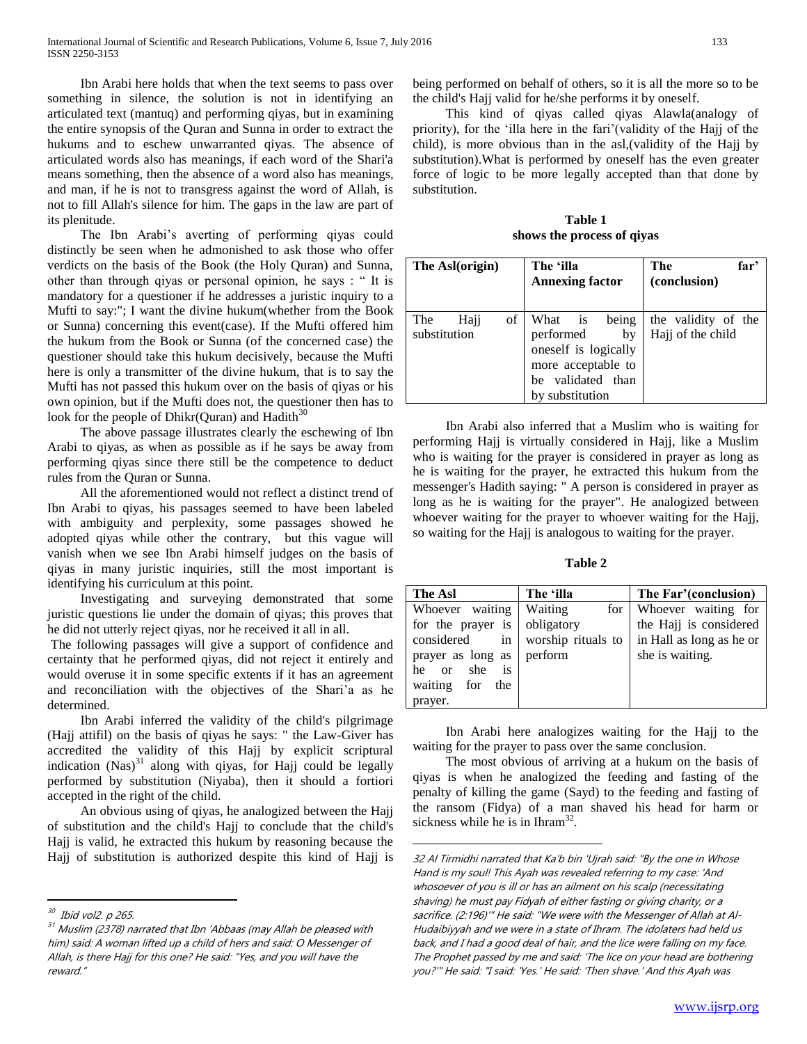Ibn Arabi here holds that when the text seems to pass over something in silence, the solution is not in identifying an articulated text (mantuq) and performing qiyas, but in examining the entire synopsis of the Quran and Sunna in order to extract the hukums and to eschew unwarranted qiyas. The absence of articulated words also has meanings, if each word of the Shari'a means something, then the absence of a word also has meanings, and man, if he is not to transgress against the word of Allah, is not to fill Allah's silence for him. The gaps in the law are part of its plenitude.

 The Ibn Arabi's averting of performing qiyas could distinctly be seen when he admonished to ask those who offer verdicts on the basis of the Book (the Holy Quran) and Sunna, other than through qiyas or personal opinion, he says : " It is mandatory for a questioner if he addresses a juristic inquiry to a Mufti to say:"; I want the divine hukum(whether from the Book or Sunna) concerning this event(case). If the Mufti offered him the hukum from the Book or Sunna (of the concerned case) the questioner should take this hukum decisively, because the Mufti here is only a transmitter of the divine hukum, that is to say the Mufti has not passed this hukum over on the basis of qiyas or his own opinion, but if the Mufti does not, the questioner then has to look for the people of Dhikr(Quran) and Hadith $30$ 

 The above passage illustrates clearly the eschewing of Ibn Arabi to qiyas, as when as possible as if he says be away from performing qiyas since there still be the competence to deduct rules from the Quran or Sunna.

 All the aforementioned would not reflect a distinct trend of Ibn Arabi to qiyas, his passages seemed to have been labeled with ambiguity and perplexity, some passages showed he adopted qiyas while other the contrary, but this vague will vanish when we see Ibn Arabi himself judges on the basis of qiyas in many juristic inquiries, still the most important is identifying his curriculum at this point.

 Investigating and surveying demonstrated that some juristic questions lie under the domain of qiyas; this proves that he did not utterly reject qiyas, nor he received it all in all.

The following passages will give a support of confidence and certainty that he performed qiyas, did not reject it entirely and would overuse it in some specific extents if it has an agreement and reconciliation with the objectives of the Shari'a as he determined.

 Ibn Arabi inferred the validity of the child's pilgrimage (Hajj attifil) on the basis of qiyas he says: " the Law-Giver has accredited the validity of this Hajj by explicit scriptural indication  $(Nas)^{31}$  along with qiyas, for Hajj could be legally performed by substitution (Niyaba), then it should a fortiori accepted in the right of the child.

 An obvious using of qiyas, he analogized between the Hajj of substitution and the child's Hajj to conclude that the child's Hajj is valid, he extracted this hukum by reasoning because the Hajj of substitution is authorized despite this kind of Hajj is

 $\overline{a}$ 

being performed on behalf of others, so it is all the more so to be the child's Hajj valid for he/she performs it by oneself.

 This kind of qiyas called qiyas Alawla(analogy of priority), for the 'illa here in the fari'(validity of the Hajj of the child), is more obvious than in the asl,(validity of the Hajj by substitution).What is performed by oneself has the even greater force of logic to be more legally accepted than that done by substitution.

**Table 1 shows the process of qiyas**

| The Asl(origin)                   | The 'illa<br><b>Annexing factor</b>                                                                                       | The<br>far'<br>(conclusion)              |
|-----------------------------------|---------------------------------------------------------------------------------------------------------------------------|------------------------------------------|
| οf<br>The<br>Haji<br>substitution | being<br>What is<br>performed<br>by<br>oneself is logically<br>more acceptable to<br>be validated than<br>by substitution | the validity of the<br>Hajj of the child |

 Ibn Arabi also inferred that a Muslim who is waiting for performing Hajj is virtually considered in Hajj, like a Muslim who is waiting for the prayer is considered in prayer as long as he is waiting for the prayer, he extracted this hukum from the messenger's Hadith saying: " A person is considered in prayer as long as he is waiting for the prayer". He analogized between whoever waiting for the prayer to whoever waiting for the Hajj, so waiting for the Hajj is analogous to waiting for the prayer.

**Table 2**

| The Asl                          | The 'illa              | The Far'(conclusion)     |
|----------------------------------|------------------------|--------------------------|
| Whoever waiting                  | Waiting<br>for $\vert$ | Whoever waiting for      |
| for the prayer is                | obligatory             | the Hajj is considered   |
| considered<br>in                 | worship rituals to     | in Hall as long as he or |
| prayer as long as                | perform                | she is waiting.          |
| she<br>is<br><sub>or</sub><br>he |                        |                          |
| waiting for<br>the               |                        |                          |
| prayer.                          |                        |                          |

 Ibn Arabi here analogizes waiting for the Hajj to the waiting for the prayer to pass over the same conclusion.

 The most obvious of arriving at a hukum on the basis of qiyas is when he analogized the feeding and fasting of the penalty of killing the game (Sayd) to the feeding and fasting of the ransom (Fidya) of a man shaved his head for harm or sickness while he is in Ihram $^{32}$ .

<sup>&</sup>lt;sup>30</sup> Ibid vol2. p 265.

 $31$  Muslim (2378) narrated that Ibn 'Abbaas (may Allah be pleased with him) said: A woman lifted up a child of hers and said: O Messenger of Allah, is there Hajj for this one? He said: "Yes, and you will have the reward."

<sup>32</sup> Al Tirmidhi narrated that Ka'b bin 'Ujrah said: "By the one in Whose Hand is my soul! This Ayah was revealed referring to my case: 'And whosoever of you is ill or has an ailment on his scalp (necessitating shaving) he must pay Fidyah of either fasting or giving charity, or a sacrifice. (2:196)'" He said: "We were with the Messenger of Allah at Al-Hudaibiyyah and we were in a state of Ihram. The idolaters had held us back, and I had a good deal of hair, and the lice were falling on my face. The Prophet passed by me and said: 'The lice on your head are bothering you?'" He said: "I said: 'Yes.' He said: 'Then shave.' And this Ayah was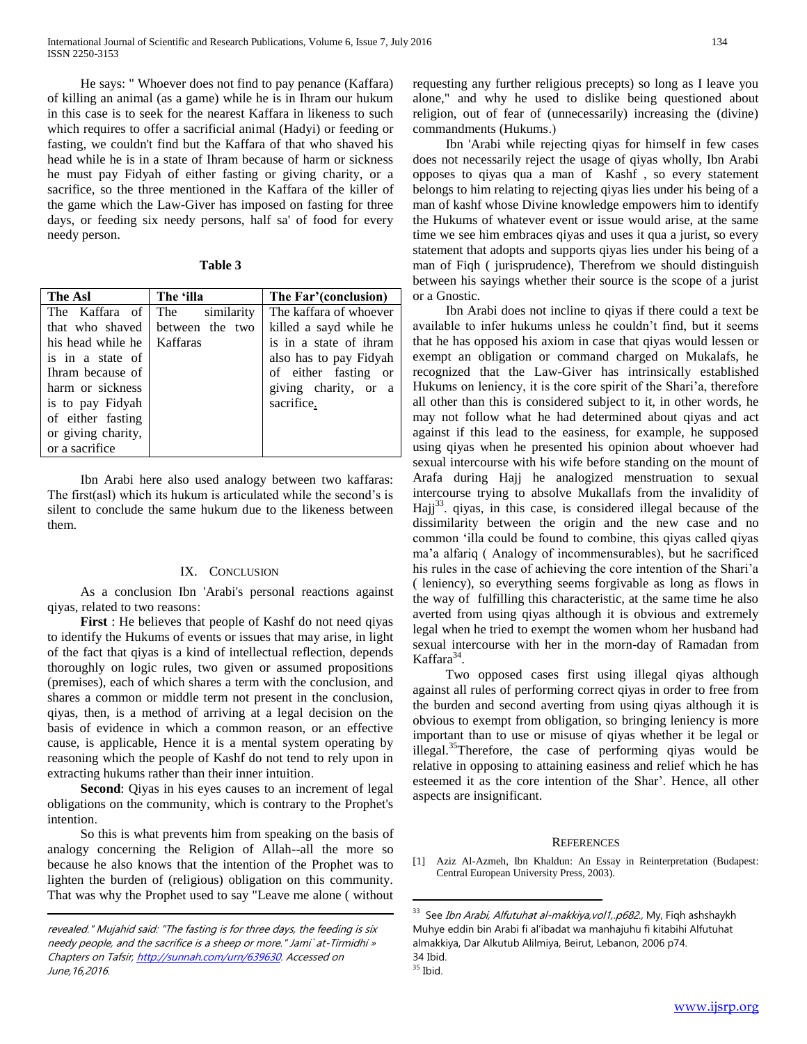He says: " Whoever does not find to pay penance (Kaffara) of killing an animal (as a game) while he is in Ihram our hukum in this case is to seek for the nearest Kaffara in likeness to such which requires to offer a sacrificial animal (Hadyi) or feeding or fasting, we couldn't find but the Kaffara of that who shaved his head while he is in a state of Ihram because of harm or sickness he must pay Fidyah of either fasting or giving charity, or a sacrifice, so the three mentioned in the Kaffara of the killer of the game which the Law-Giver has imposed on fasting for three days, or feeding six needy persons, half sa' of food for every needy person.

| able |  |
|------|--|
|      |  |

| <b>The Asl</b>     | The 'illa         | The Far'(conclusion)   |
|--------------------|-------------------|------------------------|
| The Kaffara of     | The<br>similarity | The kaffara of whoever |
| that who shaved    | between the two   | killed a sayd while he |
| his head while he  | Kaffaras          | is in a state of ihram |
| is in a state of   |                   | also has to pay Fidyah |
| Ihram because of   |                   | of either fasting or   |
| harm or sickness   |                   | giving charity, or a   |
| is to pay Fidyah   |                   | sacrifice.             |
| of either fasting  |                   |                        |
| or giving charity, |                   |                        |
| or a sacrifice     |                   |                        |

 Ibn Arabi here also used analogy between two kaffaras: The first(asl) which its hukum is articulated while the second's is silent to conclude the same hukum due to the likeness between them.

## IX. CONCLUSION

 As a conclusion Ibn 'Arabi's personal reactions against qiyas, related to two reasons:

 **First** : He believes that people of Kashf do not need qiyas to identify the Hukums of events or issues that may arise, in light of the fact that qiyas is a kind of intellectual reflection, depends thoroughly on logic rules, two given or assumed propositions (premises), each of which shares a term with the conclusion, and shares a common or middle term not present in the conclusion, qiyas, then, is a method of arriving at a legal decision on the basis of evidence in which a common reason, or an effective cause, is applicable, Hence it is a mental system operating by reasoning which the people of Kashf do not tend to rely upon in extracting hukums rather than their inner intuition.

 **Second**: Qiyas in his eyes causes to an increment of legal obligations on the community, which is contrary to the Prophet's intention.

 So this is what prevents him from speaking on the basis of analogy concerning the Religion of Allah--all the more so because he also knows that the intention of the Prophet was to lighten the burden of (religious) obligation on this community. That was why the Prophet used to say "Leave me alone ( without

 $\overline{a}$ 

requesting any further religious precepts) so long as I leave you alone," and why he used to dislike being questioned about religion, out of fear of (unnecessarily) increasing the (divine) commandments (Hukums.)

 Ibn 'Arabi while rejecting qiyas for himself in few cases does not necessarily reject the usage of qiyas wholly, Ibn Arabi opposes to qiyas qua a man of Kashf , so every statement belongs to him relating to rejecting qiyas lies under his being of a man of kashf whose Divine knowledge empowers him to identify the Hukums of whatever event or issue would arise, at the same time we see him embraces qiyas and uses it qua a jurist, so every statement that adopts and supports qiyas lies under his being of a man of Fiqh ( jurisprudence), Therefrom we should distinguish between his sayings whether their source is the scope of a jurist or a Gnostic.

 Ibn Arabi does not incline to qiyas if there could a text be available to infer hukums unless he couldn't find, but it seems that he has opposed his axiom in case that qiyas would lessen or exempt an obligation or command charged on Mukalafs, he recognized that the Law-Giver has intrinsically established Hukums on leniency, it is the core spirit of the Shari'a, therefore all other than this is considered subject to it, in other words, he may not follow what he had determined about qiyas and act against if this lead to the easiness, for example, he supposed using qiyas when he presented his opinion about whoever had sexual intercourse with his wife before standing on the mount of Arafa during Hajj he analogized menstruation to sexual intercourse trying to absolve Mukallafs from the invalidity of Hajj<sup>33</sup>. qiyas, in this case, is considered illegal because of the dissimilarity between the origin and the new case and no common 'illa could be found to combine, this qiyas called qiyas ma'a alfariq ( Analogy of incommensurables), but he sacrificed his rules in the case of achieving the core intention of the Shari'a ( leniency), so everything seems forgivable as long as flows in the way of fulfilling this characteristic, at the same time he also averted from using qiyas although it is obvious and extremely legal when he tried to exempt the women whom her husband had sexual intercourse with her in the morn-day of Ramadan from Kaffara<sup>34</sup>.

 Two opposed cases first using illegal qiyas although against all rules of performing correct qiyas in order to free from the burden and second averting from using qiyas although it is obvious to exempt from obligation, so bringing leniency is more important than to use or misuse of qiyas whether it be legal or illegal.<sup>35</sup>Therefore, the case of performing qiyas would be relative in opposing to attaining easiness and relief which he has esteemed it as the core intention of the Shar'. Hence, all other aspects are insignificant.

#### **REFERENCES**

[1] Aziz Al-Azmeh, Ibn Khaldun: An Essay in Reinterpretation (Budapest: Central European University Press, 2003).

revealed." Mujahid said: "The fasting is for three days, the feeding is six needy people, and the sacrifice is a sheep or more." Jami` at-Tirmidhi » Chapters on Tafsir, [http://sunnah.com/urn/639630.](http://sunnah.com/urn/639630) Accessed on June,16,2016.

<sup>&</sup>lt;sup>33</sup> See *Ibn Arabi, Alfutuhat al-makkiya,vol1,.p682.,* My, Fiqh ashshaykh Muhye eddin bin Arabi fi al'ibadat wa manhajuhu fi kitabihi Alfutuhat almakkiya, Dar Alkutub Alilmiya, Beirut, Lebanon, 2006 p74. 34 Ibid.

 $35$  Ibid.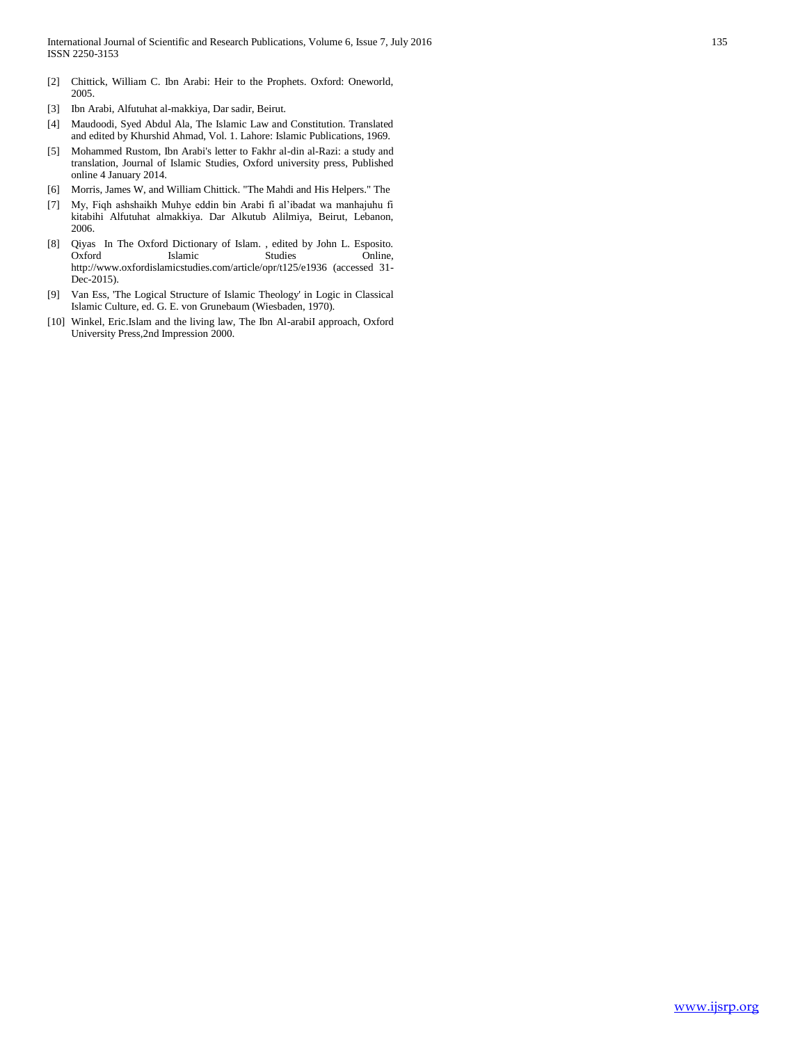- [2] Chittick, William C. Ibn Arabi: Heir to the Prophets. Oxford: Oneworld, 2005.
- [3] Ibn Arabi, Alfutuhat al-makkiya, Dar sadir, Beirut.
- [4] Maudoodi, Syed Abdul Ala, The Islamic Law and Constitution. Translated and edited by Khurshid Ahmad, Vol. 1. Lahore: Islamic Publications, 1969.
- [5] Mohammed Rustom, Ibn Arabi's letter to Fakhr al-din al-Razi: a study and translation, Journal of Islamic Studies, Oxford university press, Published online 4 January 2014.
- [6] Morris, James W, and William Chittick. "The Mahdi and His Helpers." The
- [7] My, Fiqh ashshaikh Muhye eddin bin Arabi fi al'ibadat wa manhajuhu fi kitabihi Alfutuhat almakkiya. Dar Alkutub Alilmiya, Beirut, Lebanon, 2006.
- [8] Qiyas In The Oxford Dictionary of Islam. , edited by John L. Esposito. Oxford Islamic Studies http://www.oxfordislamicstudies.com/article/opr/t125/e1936 (accessed 31- Dec-2015).
- [9] Van Ess, 'The Logical Structure of Islamic Theology' in Logic in Classical Islamic Culture, ed. G. E. von Grunebaum (Wiesbaden, 1970).
- [10] Winkel, Eric.Islam and the living law, The Ibn Al-arabiI approach, Oxford University Press,2nd Impression 2000.